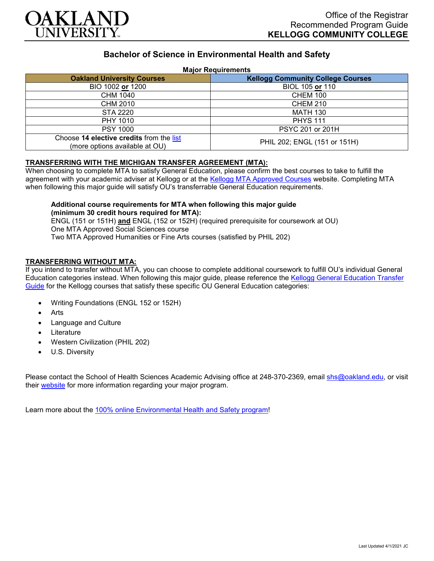

# **Bachelor of Science in Environmental Health and Safety**

#### **Major Requirements**

| <b>Oakland University Courses</b>                                          | <b>Kellogg Community College Courses</b> |
|----------------------------------------------------------------------------|------------------------------------------|
| BIO 1002 or 1200                                                           | BIOL 105 or 110                          |
| CHM 1040                                                                   | <b>CHEM 100</b>                          |
| CHM 2010                                                                   | <b>CHEM 210</b>                          |
| <b>STA 2220</b>                                                            | <b>MATH 130</b>                          |
| PHY 1010                                                                   | <b>PHYS 111</b>                          |
| <b>PSY 1000</b>                                                            | PSYC 201 or 201H                         |
| Choose 14 elective credits from the list<br>(more options available at OU) | PHIL 202; ENGL (151 or 151H)             |

#### **TRANSFERRING WITH THE MICHIGAN TRANSFER AGREEMENT (MTA):**

When choosing to complete MTA to satisfy General Education, please confirm the best courses to take to fulfill the agreement with your academic adviser at Kellogg or at the [Kellogg MTA Approved Courses](http://catalog.kellogg.edu/content.php?catoid=16&navoid=705#michigan-transfer-agreement) website. Completing MTA when following this major guide will satisfy OU's transferrable General Education requirements.

## **Additional course requirements for MTA when following this major guide (minimum 30 credit hours required for MTA):**

ENGL (151 or 151H) **and** ENGL (152 or 152H) (required prerequisite for coursework at OU) One MTA Approved Social Sciences course Two MTA Approved Humanities or Fine Arts courses (satisfied by PHIL 202)

### **TRANSFERRING WITHOUT MTA:**

If you intend to transfer without MTA, you can choose to complete additional coursework to fulfill OU's individual General Education categories instead. When following this major guide, please reference the [Kellogg General Education Transfer](https://www.oakland.edu/Assets/Oakland/program-guides/kellogg-community-college/university-general-education-requirements/Kellogg%20Gen%20Ed.pdf)  [Guide](https://www.oakland.edu/Assets/Oakland/program-guides/kellogg-community-college/university-general-education-requirements/Kellogg%20Gen%20Ed.pdf) for the Kellogg courses that satisfy these specific OU General Education categories:

- Writing Foundations (ENGL 152 or 152H)
- **Arts**
- Language and Culture
- **Literature**
- Western Civilization (PHIL 202)
- U.S. Diversity

Please contact the School of Health Sciences Academic Advising office at 248-370-2369, email [shs@oakland.edu,](mailto:shs@oakland.edu) or visit their [website](http://www.oakland.edu/shs/advising) for more information regarding your major program.

Learn more about the [100% online Environmental Health and Safety program!](https://www.oakland.edu/online/undergraduate-degree-programs/ehs/)